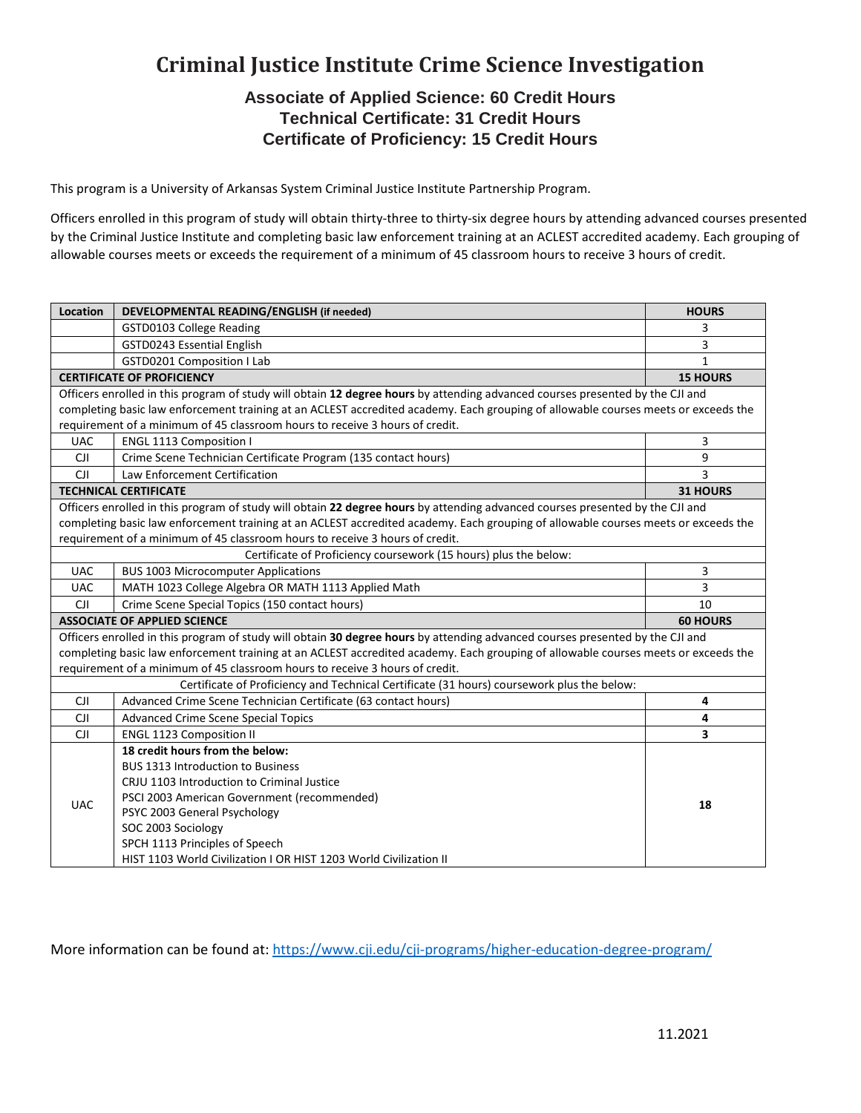# **Criminal Justice Institute Crime Science Investigation**

## **Associate of Applied Science: 60 Credit Hours Technical Certificate: 31 Credit Hours Certificate of Proficiency: 15 Credit Hours**

This program is a University of Arkansas System Criminal Justice Institute Partnership Program.

Officers enrolled in this program of study will obtain thirty-three to thirty-six degree hours by attending advanced courses presented by the Criminal Justice Institute and completing basic law enforcement training at an ACLEST accredited academy. Each grouping of allowable courses meets or exceeds the requirement of a minimum of 45 classroom hours to receive 3 hours of credit.

| Location                                                                                                                           | DEVELOPMENTAL READING/ENGLISH (if needed)                         | <b>HOURS</b>    |
|------------------------------------------------------------------------------------------------------------------------------------|-------------------------------------------------------------------|-----------------|
|                                                                                                                                    | GSTD0103 College Reading                                          | 3               |
|                                                                                                                                    | GSTD0243 Essential English                                        | 3               |
|                                                                                                                                    | <b>GSTD0201 Composition I Lab</b>                                 | $\mathbf{1}$    |
| <b>CERTIFICATE OF PROFICIENCY</b>                                                                                                  |                                                                   | <b>15 HOURS</b> |
| Officers enrolled in this program of study will obtain 12 degree hours by attending advanced courses presented by the CJI and      |                                                                   |                 |
| completing basic law enforcement training at an ACLEST accredited academy. Each grouping of allowable courses meets or exceeds the |                                                                   |                 |
| requirement of a minimum of 45 classroom hours to receive 3 hours of credit.                                                       |                                                                   |                 |
| <b>UAC</b>                                                                                                                         | <b>ENGL 1113 Composition I</b>                                    | 3               |
| <b>CJI</b>                                                                                                                         | Crime Scene Technician Certificate Program (135 contact hours)    | 9               |
| <b>CJI</b>                                                                                                                         | Law Enforcement Certification                                     | 3               |
| <b>TECHNICAL CERTIFICATE</b>                                                                                                       |                                                                   | 31 HOURS        |
| Officers enrolled in this program of study will obtain 22 degree hours by attending advanced courses presented by the CJI and      |                                                                   |                 |
| completing basic law enforcement training at an ACLEST accredited academy. Each grouping of allowable courses meets or exceeds the |                                                                   |                 |
| requirement of a minimum of 45 classroom hours to receive 3 hours of credit.                                                       |                                                                   |                 |
| Certificate of Proficiency coursework (15 hours) plus the below:                                                                   |                                                                   |                 |
| <b>UAC</b>                                                                                                                         | <b>BUS 1003 Microcomputer Applications</b>                        | 3               |
| <b>UAC</b>                                                                                                                         | MATH 1023 College Algebra OR MATH 1113 Applied Math               | 3               |
| CJI                                                                                                                                | Crime Scene Special Topics (150 contact hours)                    | 10              |
| <b>ASSOCIATE OF APPLIED SCIENCE</b>                                                                                                |                                                                   | <b>60 HOURS</b> |
| Officers enrolled in this program of study will obtain 30 degree hours by attending advanced courses presented by the CJI and      |                                                                   |                 |
| completing basic law enforcement training at an ACLEST accredited academy. Each grouping of allowable courses meets or exceeds the |                                                                   |                 |
| requirement of a minimum of 45 classroom hours to receive 3 hours of credit.                                                       |                                                                   |                 |
| Certificate of Proficiency and Technical Certificate (31 hours) coursework plus the below:                                         |                                                                   |                 |
| CJI                                                                                                                                | Advanced Crime Scene Technician Certificate (63 contact hours)    | 4               |
| <b>CJI</b>                                                                                                                         | Advanced Crime Scene Special Topics                               | 4               |
| <b>CJI</b>                                                                                                                         | <b>ENGL 1123 Composition II</b>                                   | 3               |
| <b>UAC</b>                                                                                                                         | 18 credit hours from the below:                                   |                 |
|                                                                                                                                    | <b>BUS 1313 Introduction to Business</b>                          |                 |
|                                                                                                                                    | CRJU 1103 Introduction to Criminal Justice                        |                 |
|                                                                                                                                    | PSCI 2003 American Government (recommended)                       | 18              |
|                                                                                                                                    | PSYC 2003 General Psychology                                      |                 |
|                                                                                                                                    | SOC 2003 Sociology                                                |                 |
|                                                                                                                                    | SPCH 1113 Principles of Speech                                    |                 |
|                                                                                                                                    | HIST 1103 World Civilization I OR HIST 1203 World Civilization II |                 |

More information can be found at:<https://www.cji.edu/cji-programs/higher-education-degree-program/>